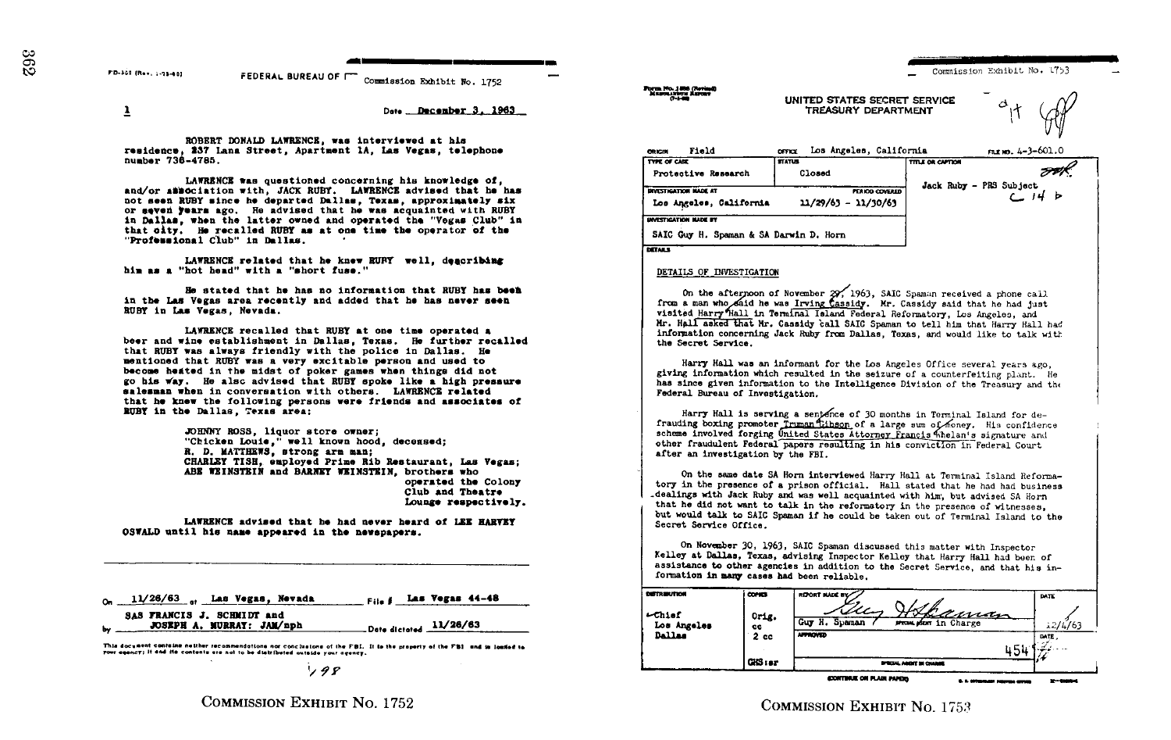rb-soz (Rev. 1-33-00) FEDERAL BUREAU OF  $\Box$  Commission Exhibit No. 1752

398

 $\frac{1}{2}$  Date December 3, 1963

ROBERT DONALD LAWRENCE, was Interviewed at his residence, 237 Lana Street, Apartment 1A, Las Vegas, telephone number 734-4786,

LAWRENCE was questioned concerning his knowledge of, and/or association with, JACK RUBY. LAWRENCE advised that he has not seen RUBY since he departed Dallas, Texas, approximately six or seven years ago. Re advised that he was acquainted with RUBY in Dallas, when the latter owned and operated the "Vegas Club" in that city . He recalled RUBY as at one time the operator of the "Professional Club" in Dallas.

LAWRENCE related that he knew RUBY well, deacribing him as a "hot head" with <sup>a</sup> "short fuse ."

He stated that he has no Information that RUBY has Web in the Las Vegas area recently and added that he has never seen RUBY in Las Vegas, Nevada .

LAWRENCE recalled that RUBY at one time operated a beer and wine establishment in Dallas, Texas. He further recalled that RUBY was always friendly with the police in Dallas. He mentioned that RUBY was a very excitable person and used to become heated in the midst of poker games when things did not go his way. He also advised that RUBY spoke like a high pressure salassan when in conversation with others . LAWRENCE related that he knew the following persona were friends and associates of RUBY 1n the Dallas, Texas area :

> JOHNNY ROSS, liquor store owner; "Chicken Louis," well known hood, deceased; R. D. MATTHEWS, strong arm man: CHARLEY TISH, employed Prime Rib Restaurant, Las Vegas; ABE WEINSTEIN and BARNEY WEINSTEIN, brothers who operated the Colony Club and Theatre Lounge respectively.

LAWRENCE advised that he had never heard of LEE RARVEY OSWALD until his name appeared in the newspapers .

| $0n$ $11/26/63$ or $-$<br>Las Vegas 44-48<br>Las Vegas, Nevada<br>File #                   | <b>COTTREUTION</b>                        | i conce             |
|--------------------------------------------------------------------------------------------|-------------------------------------------|---------------------|
| SAS FRANCIS J. SCHMIDT and<br>Date dictated $11/26/63$<br><b>JOSEPH A. MURRAY: JAM/nph</b> | $-$ <i>chief</i><br>Los Angeles<br>Dallas | Orig.<br>cc<br>2.88 |

This document containe neither recommendations not conclusions of the FBI. It is the property of the FBI and in loaded to<br>your agency; it and its contents are not to be distributed outside your agency.

COMMISSION EXHIBIT NO. 1752

| Field<br>ORIGIN                               | Los Angeles, California<br><b>OFFICE</b> |                         | гал ю. 4-3-601.0          |
|-----------------------------------------------|------------------------------------------|-------------------------|---------------------------|
| TYPE OF CASE                                  | <b>STATUS</b>                            | <b>TITLE OR CAPTION</b> |                           |
| Protective Research                           | Closed                                   |                         |                           |
| <b>INVESTIGATION MADE AT</b>                  |                                          | <b>PERIOD COVERED</b>   | Jack Ruby - PRS Subject   |
| Los Angeles, California                       | $11/29/63 - 11/30/63$                    |                         | $C$ $14$ $\triangleright$ |
| <b>INVESTIGATION NADE BY</b>                  |                                          |                         |                           |
| SAIC Guy H. Spaman & SA Darwin D. Horn<br>___ |                                          |                         |                           |

UNITED STATES SECRET SERVICE TREASURY DEPARTMENT

DETAILS

## DETAIIS OF INVESTIGATION

On the afternoon of November  $29/1963$ , SAIC Spaman received a phone call from a man who said he was Irving Cassidy. Mr. Cassidy said that he had just visited Harry 'Mall in Terminal Island Federal Reformatory, Los Angeles, and<br>Mr. Hall asked that Nr. Cassidy call SAIC Speman to tell him that Harry Hall had<br>Anformation concerning Jack Ruby from Dallas, Texas, and would l information concerning Jack Ruby from Dallas, Texas, and would like to talk wit the Secret Service.

Harry Hall was an informant for the Los Angeles Office several years ago, giving information which resulted in the seizure of a counterfeiting plant. He has since given information to the Intelligence Division of the Treasury and the Federal Bureau of Investigation.

Harry Hall is serving a sentence of 30 months in Terminal Island for de-<br>ise bowing second a Women filters of a lawses of the contract with Federal Bureau of Investigation.<br>
Harry Hall is serving a sent free of 30 months in Terminal Island for de-<br>
frauding boxing promoter Truman Thibson of a large sum of forey. His confidence<br>
scheme involved forging Onited S other fraudulent Federal papers resulting in his conviction in Federal Court after an investigation by the FBI.

On the same date SA Horn interviewed Harry Hall at Terminal Island Reformatory in the presence of a prison official. Hall stated that he had had business .dealings with Jack Ruby and was well acquainted with him', but advised SA Horn that he did not want to talk in the reformatory in the presence of witnesses, but would talk to SAIC Spaman if he could be taken out of Terminal Island to the Secret Service Office .

On November 30, 1963, SAIC Speman discussed this matter with Inspector Kelley at Dallas, Texas, advising Inspector Kelley that Harry Hall had been of assistance to other agencies in addition to the Secret Service, and that his information in many cases had been reliable.

| <b>COTRAUTION</b>        | <b>COPIES</b>   | REPORT MADE BY                                                  | DATE           |
|--------------------------|-----------------|-----------------------------------------------------------------|----------------|
| $-$ Chief<br>Los Angeles | Orig.<br>cc     | M<br><u>laman</u><br>Spaman<br>Guy H.<br>sexual stor in Charge  | 12/4/63        |
| <b>Dallas</b>            | 2 <sub>ec</sub> | <b>ATTICULD</b>                                                 | DATE.          |
|                          |                 | 454                                                             | .              |
|                          | GIS1ar          | <b>BYRCHAL AGENT SH CHANGE</b>                                  |                |
|                          |                 | <b>CONTINUE ON PLAIR PAPERS</b><br>U. S. Millenberg Houston and | $2 - 4000 - 1$ |